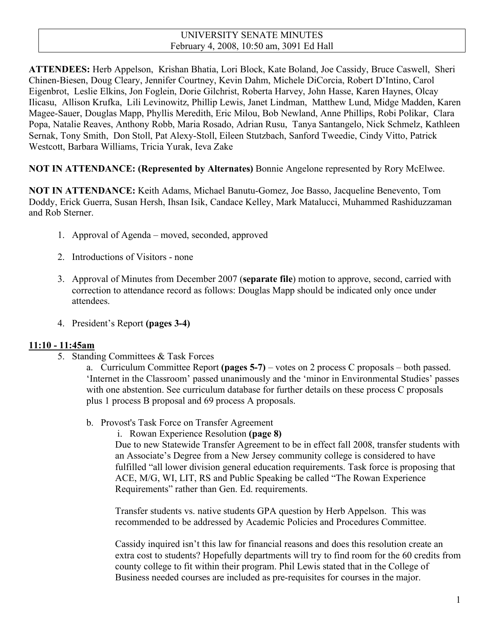# UNIVERSITY SENATE MINUTES February 4, 2008, 10:50 am, 3091 Ed Hall

**ATTENDEES:** Herb Appelson, Krishan Bhatia, Lori Block, Kate Boland, Joe Cassidy, Bruce Caswell, Sheri Chinen-Biesen, Doug Cleary, Jennifer Courtney, Kevin Dahm, Michele DiCorcia, Robert D'Intino, Carol Eigenbrot, Leslie Elkins, Jon Foglein, Dorie Gilchrist, Roberta Harvey, John Hasse, Karen Haynes, Olcay Ilicasu, Allison Krufka, Lili Levinowitz, Phillip Lewis, Janet Lindman, Matthew Lund, Midge Madden, Karen Magee-Sauer, Douglas Mapp, Phyllis Meredith, Eric Milou, Bob Newland, Anne Phillips, Robi Polikar, Clara Popa, Natalie Reaves, Anthony Robb, Maria Rosado, Adrian Rusu, Tanya Santangelo, Nick Schmelz, Kathleen Sernak, Tony Smith, Don Stoll, Pat Alexy-Stoll, Eileen Stutzbach, Sanford Tweedie, Cindy Vitto, Patrick Westcott, Barbara Williams, Tricia Yurak, Ieva Zake

**NOT IN ATTENDANCE: (Represented by Alternates)** Bonnie Angelone represented by Rory McElwee.

**NOT IN ATTENDANCE:** Keith Adams, Michael Banutu-Gomez, Joe Basso, Jacqueline Benevento, Tom Doddy, Erick Guerra, Susan Hersh, Ihsan Isik, Candace Kelley, Mark Matalucci, Muhammed Rashiduzzaman and Rob Sterner.

- 1. Approval of Agenda moved, seconded, approved
- 2. Introductions of Visitors none
- 3. Approval of Minutes from December 2007 (**separate file**) motion to approve, second, carried with correction to attendance record as follows: Douglas Mapp should be indicated only once under attendees.
- 4. President's Report **(pages 3-4)**

### **11:10 - 11:45am**

5. Standing Committees & Task Forces

a. Curriculum Committee Report **(pages 5-7)** – votes on 2 process C proposals – both passed. 'Internet in the Classroom' passed unanimously and the 'minor in Environmental Studies' passes with one abstention. See curriculum database for further details on these process C proposals plus 1 process B proposal and 69 process A proposals.

- b. Provost's Task Force on Transfer Agreement
	- i. Rowan Experience Resolution **(page 8)**

Due to new Statewide Transfer Agreement to be in effect fall 2008, transfer students with an Associate's Degree from a New Jersey community college is considered to have fulfilled "all lower division general education requirements. Task force is proposing that ACE, M/G, WI, LIT, RS and Public Speaking be called "The Rowan Experience Requirements" rather than Gen. Ed. requirements.

Transfer students vs. native students GPA question by Herb Appelson. This was recommended to be addressed by Academic Policies and Procedures Committee.

Cassidy inquired isn't this law for financial reasons and does this resolution create an extra cost to students? Hopefully departments will try to find room for the 60 credits from county college to fit within their program. Phil Lewis stated that in the College of Business needed courses are included as pre-requisites for courses in the major.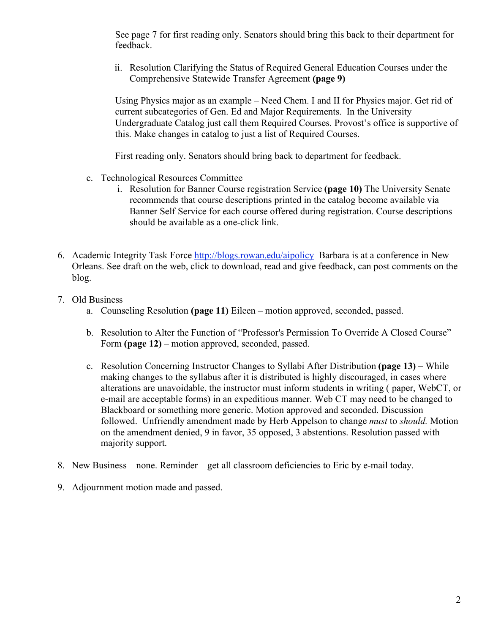See page 7 for first reading only. Senators should bring this back to their department for feedback.

ii. Resolution Clarifying the Status of Required General Education Courses under the Comprehensive Statewide Transfer Agreement **(page 9)**

Using Physics major as an example – Need Chem. I and II for Physics major. Get rid of current subcategories of Gen. Ed and Major Requirements. In the University Undergraduate Catalog just call them Required Courses. Provost's office is supportive of this. Make changes in catalog to just a list of Required Courses.

First reading only. Senators should bring back to department for feedback.

- c. Technological Resources Committee
	- i. Resolution for Banner Course registration Service **(page 10)** The University Senate recommends that course descriptions printed in the catalog become available via Banner Self Service for each course offered during registration. Course descriptions should be available as a one-click link.
- 6. Academic Integrity Task Force http://blogs.rowan.edu/aipolicy Barbara is at a conference in New Orleans. See draft on the web, click to download, read and give feedback, can post comments on the blog.
- 7. Old Business
	- a. Counseling Resolution **(page 11)** Eileen motion approved, seconded, passed.
	- b. Resolution to Alter the Function of "Professor's Permission To Override A Closed Course" Form **(page 12)** – motion approved, seconded, passed.
	- c. Resolution Concerning Instructor Changes to Syllabi After Distribution **(page 13)** While making changes to the syllabus after it is distributed is highly discouraged, in cases where alterations are unavoidable, the instructor must inform students in writing ( paper, WebCT, or e-mail are acceptable forms) in an expeditious manner. Web CT may need to be changed to Blackboard or something more generic. Motion approved and seconded. Discussion followed. Unfriendly amendment made by Herb Appelson to change *must* to *should.* Motion on the amendment denied, 9 in favor, 35 opposed, 3 abstentions. Resolution passed with majority support.
- 8. New Business none. Reminder get all classroom deficiencies to Eric by e-mail today.
- 9. Adjournment motion made and passed.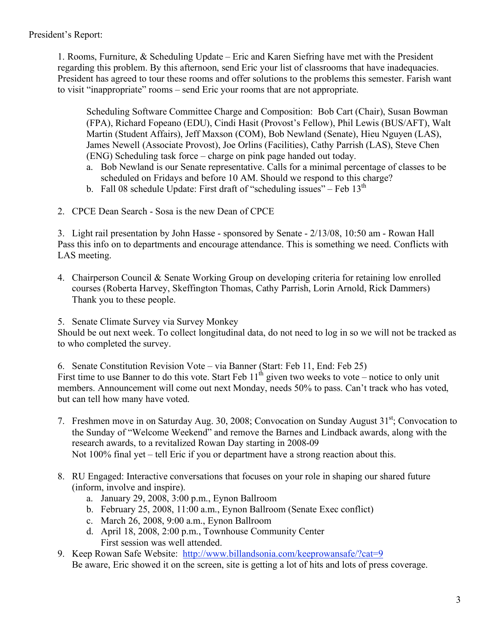1. Rooms, Furniture, & Scheduling Update – Eric and Karen Siefring have met with the President regarding this problem. By this afternoon, send Eric your list of classrooms that have inadequacies. President has agreed to tour these rooms and offer solutions to the problems this semester. Farish want to visit "inappropriate" rooms – send Eric your rooms that are not appropriate.

Scheduling Software Committee Charge and Composition: Bob Cart (Chair), Susan Bowman (FPA), Richard Fopeano (EDU), Cindi Hasit (Provost's Fellow), Phil Lewis (BUS/AFT), Walt Martin (Student Affairs), Jeff Maxson (COM), Bob Newland (Senate), Hieu Nguyen (LAS), James Newell (Associate Provost), Joe Orlins (Facilities), Cathy Parrish (LAS), Steve Chen (ENG) Scheduling task force – charge on pink page handed out today.

- a. Bob Newland is our Senate representative. Calls for a minimal percentage of classes to be scheduled on Fridays and before 10 AM. Should we respond to this charge?
- b. Fall 08 schedule Update: First draft of "scheduling issues" Feb  $13<sup>th</sup>$
- 2. CPCE Dean Search Sosa is the new Dean of CPCE

3. Light rail presentation by John Hasse - sponsored by Senate - 2/13/08, 10:50 am - Rowan Hall Pass this info on to departments and encourage attendance. This is something we need. Conflicts with LAS meeting.

4. Chairperson Council & Senate Working Group on developing criteria for retaining low enrolled courses (Roberta Harvey, Skeffington Thomas, Cathy Parrish, Lorin Arnold, Rick Dammers) Thank you to these people.

5. Senate Climate Survey via Survey Monkey

Should be out next week. To collect longitudinal data, do not need to log in so we will not be tracked as to who completed the survey.

6. Senate Constitution Revision Vote – via Banner (Start: Feb 11, End: Feb 25) First time to use Banner to do this vote. Start Feb  $11<sup>th</sup>$  given two weeks to vote – notice to only unit members. Announcement will come out next Monday, needs 50% to pass. Can't track who has voted, but can tell how many have voted.

- 7. Freshmen move in on Saturday Aug. 30, 2008; Convocation on Sunday August 31<sup>st</sup>; Convocation to the Sunday of "Welcome Weekend" and remove the Barnes and Lindback awards, along with the research awards, to a revitalized Rowan Day starting in 2008-09 Not 100% final yet – tell Eric if you or department have a strong reaction about this.
- 8. RU Engaged: Interactive conversations that focuses on your role in shaping our shared future (inform, involve and inspire).
	- a. January 29, 2008, 3:00 p.m., Eynon Ballroom
	- b. February 25, 2008, 11:00 a.m., Eynon Ballroom (Senate Exec conflict)
	- c. March 26, 2008, 9:00 a.m., Eynon Ballroom
	- d. April 18, 2008, 2:00 p.m., Townhouse Community Center First session was well attended.
- 9. Keep Rowan Safe Website: http://www.billandsonia.com/keeprowansafe/?cat=9 Be aware, Eric showed it on the screen, site is getting a lot of hits and lots of press coverage.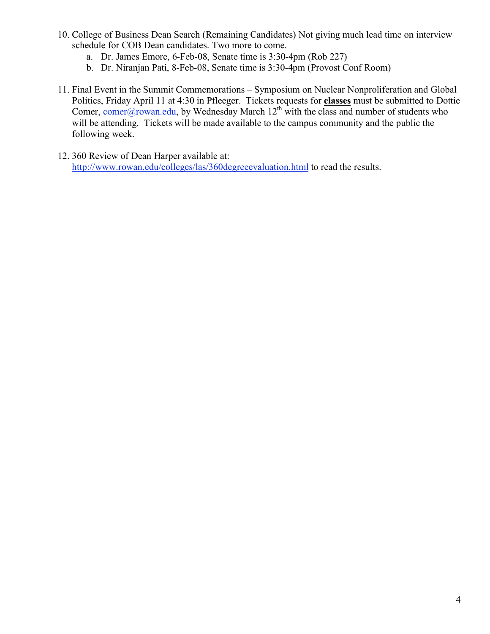- 10. College of Business Dean Search (Remaining Candidates) Not giving much lead time on interview schedule for COB Dean candidates. Two more to come.
	- a. Dr. James Emore, 6-Feb-08, Senate time is 3:30-4pm (Rob 227)
	- b. Dr. Niranjan Pati, 8-Feb-08, Senate time is 3:30-4pm (Provost Conf Room)
- 11. Final Event in the Summit Commemorations Symposium on Nuclear Nonproliferation and Global Politics, Friday April 11 at 4:30 in Pfleeger. Tickets requests for **classes** must be submitted to Dottie Comer, comer@rowan.edu, by Wednesday March  $12<sup>th</sup>$  with the class and number of students who will be attending. Tickets will be made available to the campus community and the public the following week.
- 12. 360 Review of Dean Harper available at: http://www.rowan.edu/colleges/las/360degreeevaluation.html to read the results.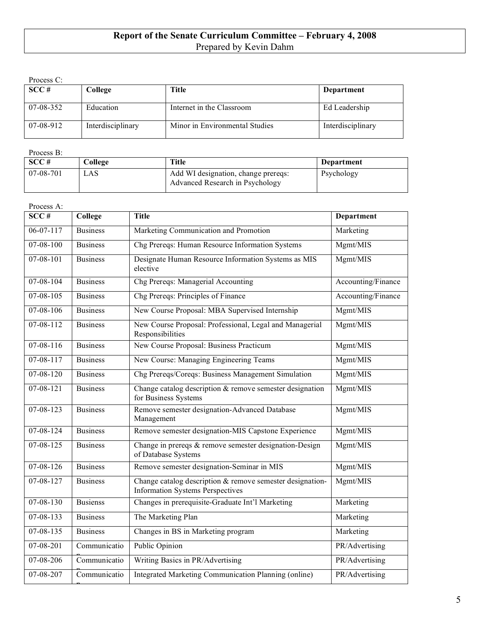# **Report of the Senate Curriculum Committee – February 4, 2008** Prepared by Kevin Dahm

Process C:

| SCC#      | College           | Title                          | Department        |
|-----------|-------------------|--------------------------------|-------------------|
| 07-08-352 | Education         | Internet in the Classroom      | Ed Leadership     |
| 07-08-912 | Interdisciplinary | Minor in Environmental Studies | Interdisciplinary |

#### Process B:

n

| SCC#      | College | <b>Title</b>                                                           | Department |
|-----------|---------|------------------------------------------------------------------------|------------|
| 07-08-701 | LAS     | Add WI designation, change prereqs:<br>Advanced Research in Psychology | Psychology |

| Process A:        |                 |                                                                                                      |                    |
|-------------------|-----------------|------------------------------------------------------------------------------------------------------|--------------------|
| $SC\overline{C#}$ | College         | <b>Title</b>                                                                                         | <b>Department</b>  |
| $06 - 07 - 117$   | <b>Business</b> | Marketing Communication and Promotion                                                                | Marketing          |
| $07 - 08 - 100$   | <b>Business</b> | Chg Prereqs: Human Resource Information Systems                                                      | Mgmt/MIS           |
| 07-08-101         | <b>Business</b> | Designate Human Resource Information Systems as MIS<br>elective                                      | Mgmt/MIS           |
| 07-08-104         | <b>Business</b> | Chg Prereqs: Managerial Accounting                                                                   | Accounting/Finance |
| 07-08-105         | <b>Business</b> | Chg Prereqs: Principles of Finance                                                                   | Accounting/Finance |
| 07-08-106         | <b>Business</b> | New Course Proposal: MBA Supervised Internship                                                       | Mgmt/MIS           |
| 07-08-112         | <b>Business</b> | New Course Proposal: Professional, Legal and Managerial<br>Responsibilities                          | Mgmt/MIS           |
| $07 - 08 - 116$   | <b>Business</b> | New Course Proposal: Business Practicum                                                              | Mgmt/MIS           |
| 07-08-117         | <b>Business</b> | New Course: Managing Engineering Teams                                                               | Mgmt/MIS           |
| $07 - 08 - 120$   | <b>Business</b> | Chg Prereqs/Coreqs: Business Management Simulation                                                   | Mgmt/MIS           |
| 07-08-121         | <b>Business</b> | Change catalog description $&$ remove semester designation<br>for Business Systems                   | Mgmt/MIS           |
| 07-08-123         | <b>Business</b> | Remove semester designation-Advanced Database<br>Management                                          | Mgmt/MIS           |
| $07 - 08 - 124$   | <b>Business</b> | Remove semester designation-MIS Capstone Experience                                                  | Mgmt/MIS           |
| $07 - 08 - 125$   | <b>Business</b> | Change in prereqs & remove semester designation-Design<br>of Database Systems                        | Mgmt/MIS           |
| $07 - 08 - 126$   | <b>Business</b> | Remove semester designation-Seminar in MIS                                                           | Mgmt/MIS           |
| 07-08-127         | <b>Business</b> | Change catalog description & remove semester designation-<br><b>Information Systems Perspectives</b> | Mgmt/MIS           |
| $07 - 08 - 130$   | <b>Busienss</b> | Changes in prerequisite-Graduate Int'l Marketing                                                     | Marketing          |
| $07 - 08 - 133$   | <b>Business</b> | The Marketing Plan                                                                                   | Marketing          |
| $07 - 08 - 135$   | <b>Business</b> | Changes in BS in Marketing program                                                                   | Marketing          |
| 07-08-201         | Communicatio    | Public Opinion                                                                                       | PR/Advertising     |
| 07-08-206         | Communicatio    | Writing Basics in PR/Advertising                                                                     | PR/Advertising     |
| 07-08-207         | Communicatio    | Integrated Marketing Communication Planning (online)                                                 | PR/Advertising     |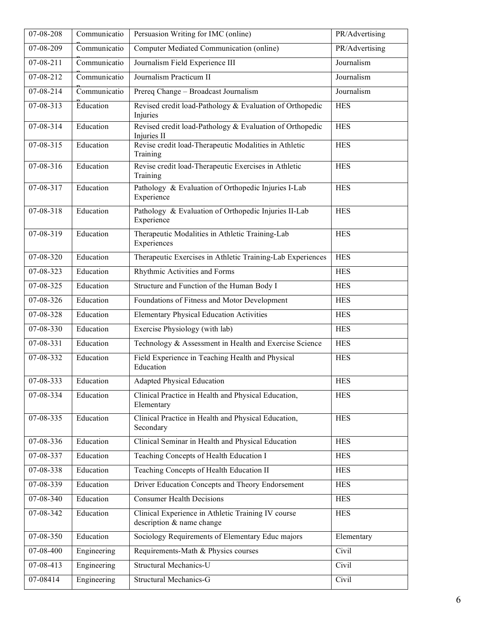| 07-08-208               | Communicatio | Persuasion Writing for IMC (online)                                             | PR/Advertising |
|-------------------------|--------------|---------------------------------------------------------------------------------|----------------|
| 07-08-209               | Communicatio | Computer Mediated Communication (online)                                        | PR/Advertising |
| $07 - 08 - 211$         | Communicatio | Journalism Field Experience III                                                 | Journalism     |
| 07-08-212               | Communicatio | Journalism Practicum II                                                         | Journalism     |
| 07-08-214               | Communicatio | Prereq Change - Broadcast Journalism                                            | Journalism     |
| 07-08-313               | Education    | Revised credit load-Pathology & Evaluation of Orthopedic<br>Injuries            | <b>HES</b>     |
| $07 - 08 - 314$         | Education    | Revised credit load-Pathology & Evaluation of Orthopedic<br>Injuries II         | <b>HES</b>     |
| 07-08-315               | Education    | Revise credit load-Therapeutic Modalities in Athletic<br>Training               | <b>HES</b>     |
| 07-08-316               | Education    | Revise credit load-Therapeutic Exercises in Athletic<br>Training                | <b>HES</b>     |
| 07-08-317               | Education    | Pathology & Evaluation of Orthopedic Injuries I-Lab<br>Experience               | <b>HES</b>     |
| 07-08-318               | Education    | Pathology & Evaluation of Orthopedic Injuries II-Lab<br>Experience              | <b>HES</b>     |
| 07-08-319               | Education    | Therapeutic Modalities in Athletic Training-Lab<br>Experiences                  | <b>HES</b>     |
| 07-08-320               | Education    | Therapeutic Exercises in Athletic Training-Lab Experiences                      | <b>HES</b>     |
| 07-08-323               | Education    | Rhythmic Activities and Forms                                                   | <b>HES</b>     |
| $\overline{07}$ -08-325 | Education    | Structure and Function of the Human Body I                                      | <b>HES</b>     |
| 07-08-326               | Education    | Foundations of Fitness and Motor Development                                    | <b>HES</b>     |
| 07-08-328               | Education    | <b>Elementary Physical Education Activities</b>                                 | <b>HES</b>     |
| 07-08-330               | Education    | Exercise Physiology (with lab)                                                  | <b>HES</b>     |
| $07 - 08 - 331$         | Education    | Technology & Assessment in Health and Exercise Science                          | <b>HES</b>     |
| 07-08-332               | Education    | Field Experience in Teaching Health and Physical<br>Education                   | <b>HES</b>     |
| 07-08-333               | Education    | <b>Adapted Physical Education</b>                                               | <b>HES</b>     |
| 07-08-334               | Education    | Clinical Practice in Health and Physical Education,<br>Elementary               | <b>HES</b>     |
| 07-08-335               | Education    | Clinical Practice in Health and Physical Education,<br>Secondary                | <b>HES</b>     |
| 07-08-336               | Education    | Clinical Seminar in Health and Physical Education                               | <b>HES</b>     |
| 07-08-337               | Education    | Teaching Concepts of Health Education I                                         | <b>HES</b>     |
| 07-08-338               | Education    | Teaching Concepts of Health Education II                                        | <b>HES</b>     |
| 07-08-339               | Education    | Driver Education Concepts and Theory Endorsement                                | <b>HES</b>     |
| 07-08-340               | Education    | <b>Consumer Health Decisions</b>                                                | <b>HES</b>     |
| 07-08-342               | Education    | Clinical Experience in Athletic Training IV course<br>description & name change | <b>HES</b>     |
| 07-08-350               | Education    | Sociology Requirements of Elementary Educ majors                                | Elementary     |
| 07-08-400               | Engineering  | Requirements-Math & Physics courses                                             | Civil          |
| 07-08-413               | Engineering  | Structural Mechanics-U                                                          | Civil          |
| 07-08414                | Engineering  | Structural Mechanics-G                                                          | Civil          |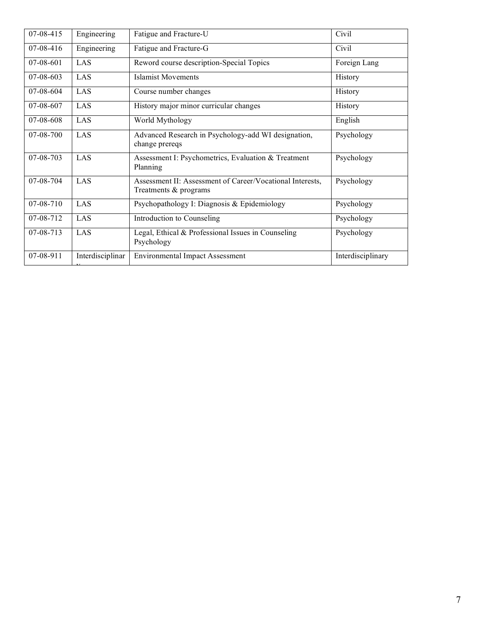| 07-08-415   | Engineering      | Fatigue and Fracture-U                                                             | Civil             |
|-------------|------------------|------------------------------------------------------------------------------------|-------------------|
| 07-08-416   | Engineering      | Fatigue and Fracture-G                                                             | Civil             |
| $07-08-601$ | LAS              | Reword course description-Special Topics                                           | Foreign Lang      |
| 07-08-603   | LAS              | <b>Islamist Movements</b>                                                          | History           |
| $07-08-604$ | LAS              | Course number changes                                                              | History           |
| 07-08-607   | LAS              | History major minor curricular changes                                             | History           |
| 07-08-608   | LAS              | World Mythology                                                                    | English           |
| 07-08-700   | LAS              | Advanced Research in Psychology-add WI designation,<br>change prereqs              | Psychology        |
| 07-08-703   | LAS              | Assessment I: Psychometrics, Evaluation & Treatment<br>Planning                    | Psychology        |
| 07-08-704   | LAS              | Assessment II: Assessment of Career/Vocational Interests,<br>Treatments & programs | Psychology        |
| 07-08-710   | LAS              | Psychopathology I: Diagnosis & Epidemiology                                        | Psychology        |
| 07-08-712   | LAS              | Introduction to Counseling                                                         | Psychology        |
| $07-08-713$ | LAS              | Legal, Ethical & Professional Issues in Counseling<br>Psychology                   | Psychology        |
| 07-08-911   | Interdisciplinar | <b>Environmental Impact Assessment</b>                                             | Interdisciplinary |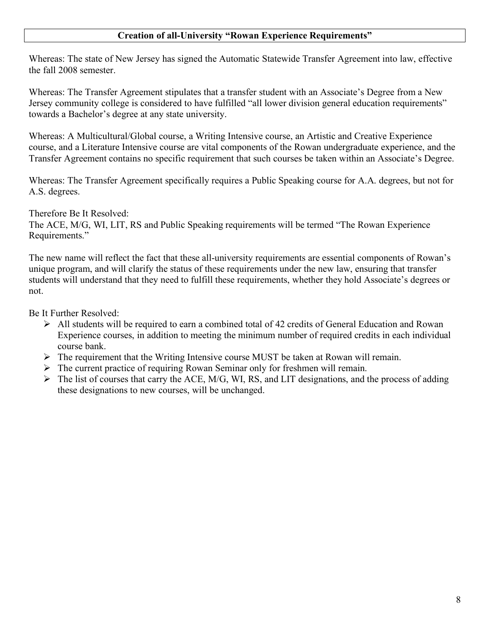# **Creation of all-University "Rowan Experience Requirements"**

Whereas: The state of New Jersey has signed the Automatic Statewide Transfer Agreement into law, effective the fall 2008 semester.

Whereas: The Transfer Agreement stipulates that a transfer student with an Associate's Degree from a New Jersey community college is considered to have fulfilled "all lower division general education requirements" towards a Bachelor's degree at any state university.

Whereas: A Multicultural/Global course, a Writing Intensive course, an Artistic and Creative Experience course, and a Literature Intensive course are vital components of the Rowan undergraduate experience, and the Transfer Agreement contains no specific requirement that such courses be taken within an Associate's Degree.

Whereas: The Transfer Agreement specifically requires a Public Speaking course for A.A. degrees, but not for A.S. degrees.

Therefore Be It Resolved:

The ACE, M/G, WI, LIT, RS and Public Speaking requirements will be termed "The Rowan Experience Requirements."

The new name will reflect the fact that these all-university requirements are essential components of Rowan's unique program, and will clarify the status of these requirements under the new law, ensuring that transfer students will understand that they need to fulfill these requirements, whether they hold Associate's degrees or not.

Be It Further Resolved:

- $\triangleright$  All students will be required to earn a combined total of 42 credits of General Education and Rowan Experience courses, in addition to meeting the minimum number of required credits in each individual course bank.
- $\triangleright$  The requirement that the Writing Intensive course MUST be taken at Rowan will remain.
- $\triangleright$  The current practice of requiring Rowan Seminar only for freshmen will remain.
- $\triangleright$  The list of courses that carry the ACE, M/G, WI, RS, and LIT designations, and the process of adding these designations to new courses, will be unchanged.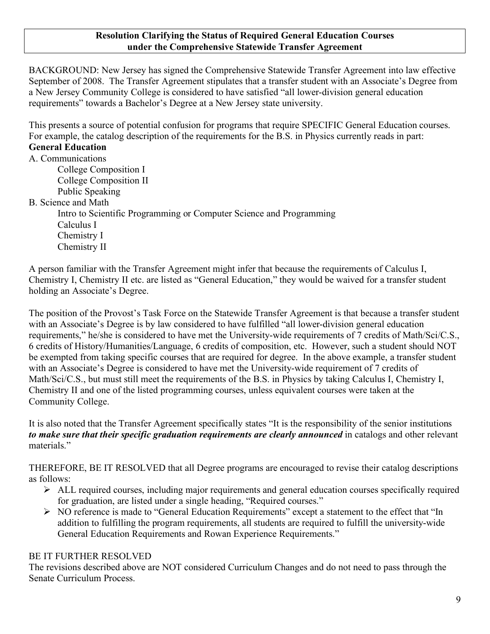### **Resolution Clarifying the Status of Required General Education Courses under the Comprehensive Statewide Transfer Agreement**

BACKGROUND: New Jersey has signed the Comprehensive Statewide Transfer Agreement into law effective September of 2008. The Transfer Agreement stipulates that a transfer student with an Associate's Degree from a New Jersey Community College is considered to have satisfied "all lower-division general education requirements" towards a Bachelor's Degree at a New Jersey state university.

This presents a source of potential confusion for programs that require SPECIFIC General Education courses. For example, the catalog description of the requirements for the B.S. in Physics currently reads in part:

# **General Education**

A. Communications

College Composition I College Composition II Public Speaking

B. Science and Math

Intro to Scientific Programming or Computer Science and Programming Calculus I Chemistry I Chemistry II

A person familiar with the Transfer Agreement might infer that because the requirements of Calculus I, Chemistry I, Chemistry II etc. are listed as "General Education," they would be waived for a transfer student holding an Associate's Degree.

The position of the Provost's Task Force on the Statewide Transfer Agreement is that because a transfer student with an Associate's Degree is by law considered to have fulfilled "all lower-division general education requirements," he/she is considered to have met the University-wide requirements of 7 credits of Math/Sci/C.S., 6 credits of History/Humanities/Language, 6 credits of composition, etc. However, such a student should NOT be exempted from taking specific courses that are required for degree. In the above example, a transfer student with an Associate's Degree is considered to have met the University-wide requirement of 7 credits of Math/Sci/C.S., but must still meet the requirements of the B.S. in Physics by taking Calculus I, Chemistry I, Chemistry II and one of the listed programming courses, unless equivalent courses were taken at the Community College.

It is also noted that the Transfer Agreement specifically states "It is the responsibility of the senior institutions *to make sure that their specific graduation requirements are clearly announced* in catalogs and other relevant materials."

THEREFORE, BE IT RESOLVED that all Degree programs are encouraged to revise their catalog descriptions as follows:

- ALL required courses, including major requirements and general education courses specifically required for graduation, are listed under a single heading, "Required courses."
- NO reference is made to "General Education Requirements" except a statement to the effect that "In addition to fulfilling the program requirements, all students are required to fulfill the university-wide General Education Requirements and Rowan Experience Requirements."

# BE IT FURTHER RESOLVED

The revisions described above are NOT considered Curriculum Changes and do not need to pass through the Senate Curriculum Process.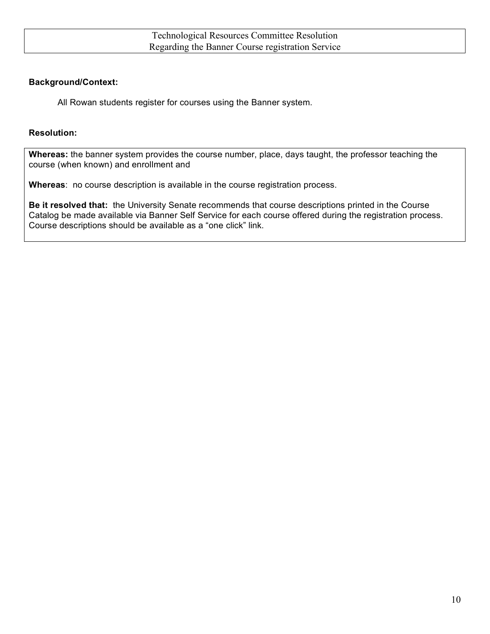# **Background/Context:**

All Rowan students register for courses using the Banner system.

## **Resolution:**

**Whereas:** the banner system provides the course number, place, days taught, the professor teaching the course (when known) and enrollment and

**Whereas**: no course description is available in the course registration process.

**Be it resolved that:** the University Senate recommends that course descriptions printed in the Course Catalog be made available via Banner Self Service for each course offered during the registration process. Course descriptions should be available as a "one click" link.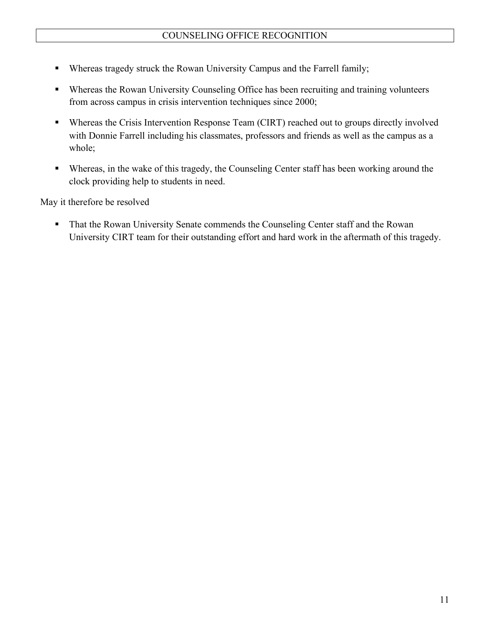- Whereas tragedy struck the Rowan University Campus and the Farrell family;
- Whereas the Rowan University Counseling Office has been recruiting and training volunteers from across campus in crisis intervention techniques since 2000;
- Whereas the Crisis Intervention Response Team (CIRT) reached out to groups directly involved with Donnie Farrell including his classmates, professors and friends as well as the campus as a whole;
- Whereas, in the wake of this tragedy, the Counseling Center staff has been working around the clock providing help to students in need.

May it therefore be resolved

**That the Rowan University Senate commends the Counseling Center staff and the Rowan** University CIRT team for their outstanding effort and hard work in the aftermath of this tragedy.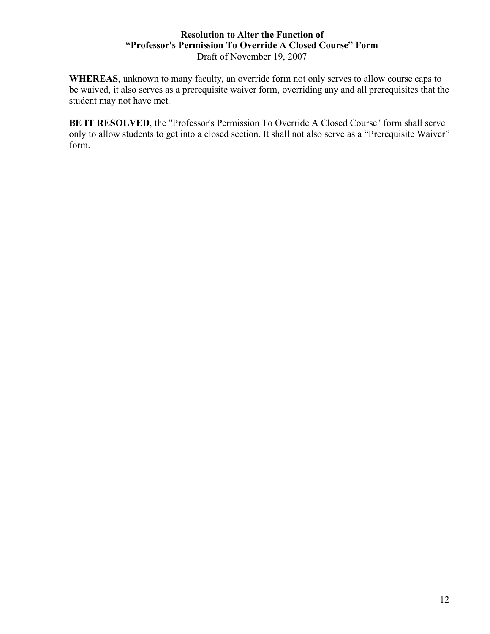# **Resolution to Alter the Function of "Professor's Permission To Override A Closed Course" Form** Draft of November 19, 2007

**WHEREAS**, unknown to many faculty, an override form not only serves to allow course caps to be waived, it also serves as a prerequisite waiver form, overriding any and all prerequisites that the student may not have met.

**BE IT RESOLVED**, the "Professor's Permission To Override A Closed Course" form shall serve only to allow students to get into a closed section. It shall not also serve as a "Prerequisite Waiver" form.